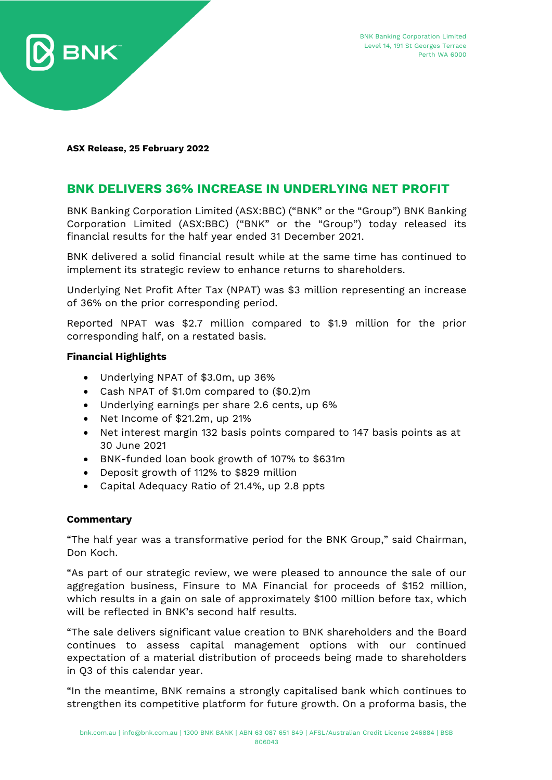

**ASX Release, 25 February 2022**

# **BNK DELIVERS 36% INCREASE IN UNDERLYING NET PROFIT**

BNK Banking Corporation Limited (ASX:BBC) ("BNK" or the "Group") BNK Banking Corporation Limited (ASX:BBC) ("BNK" or the "Group") today released its financial results for the half year ended 31 December 2021.

BNK delivered a solid financial result while at the same time has continued to implement its strategic review to enhance returns to shareholders.

Underlying Net Profit After Tax (NPAT) was \$3 million representing an increase of 36% on the prior corresponding period.

Reported NPAT was \$2.7 million compared to \$1.9 million for the prior corresponding half, on a restated basis.

## **Financial Highlights**

- Underlying NPAT of \$3.0m, up 36%
- Cash NPAT of \$1.0m compared to (\$0.2)m
- Underlying earnings per share 2.6 cents, up 6%
- Net Income of \$21.2m, up 21%
- Net interest margin 132 basis points compared to 147 basis points as at 30 June 2021
- BNK-funded loan book growth of 107% to \$631m
- Deposit growth of 112% to \$829 million
- Capital Adequacy Ratio of 21.4%, up 2.8 ppts

### **Commentary**

"The half year was a transformative period for the BNK Group," said Chairman, Don Koch.

"As part of our strategic review, we were pleased to announce the sale of our aggregation business, Finsure to MA Financial for proceeds of \$152 million, which results in a gain on sale of approximately \$100 million before tax, which will be reflected in BNK's second half results.

"The sale delivers significant value creation to BNK shareholders and the Board continues to assess capital management options with our continued expectation of a material distribution of proceeds being made to shareholders in Q3 of this calendar year.

"In the meantime, BNK remains a strongly capitalised bank which continues to strengthen its competitive platform for future growth. On a proforma basis, the